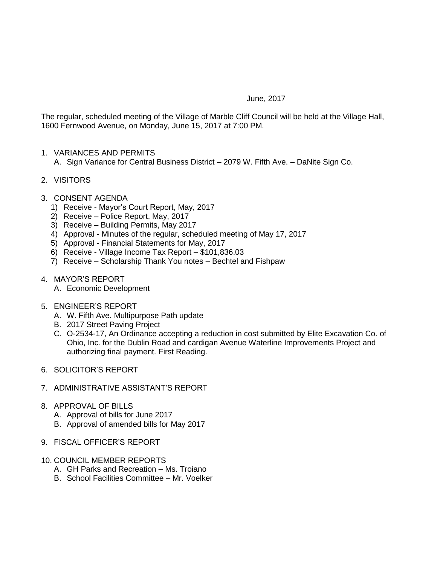## June, 2017

The regular, scheduled meeting of the Village of Marble Cliff Council will be held at the Village Hall, 1600 Fernwood Avenue, on Monday, June 15, 2017 at 7:00 PM.

- 1. VARIANCES AND PERMITS A. Sign Variance for Central Business District – 2079 W. Fifth Ave. – DaNite Sign Co.
- 2. VISITORS
- 3. CONSENT AGENDA
	- 1) Receive Mayor's Court Report, May, 2017
	- 2) Receive Police Report, May, 2017
	- 3) Receive Building Permits, May 2017
	- 4) Approval Minutes of the regular, scheduled meeting of May 17, 2017
	- 5) Approval Financial Statements for May, 2017
	- 6) Receive Village Income Tax Report \$101,836.03
	- 7) Receive Scholarship Thank You notes Bechtel and Fishpaw
- 4. MAYOR'S REPORT
	- A. Economic Development
- 5. ENGINEER'S REPORT
	- A. W. Fifth Ave. Multipurpose Path update
	- B. 2017 Street Paving Project
	- C. O-2534-17, An Ordinance accepting a reduction in cost submitted by Elite Excavation Co. of Ohio, Inc. for the Dublin Road and cardigan Avenue Waterline Improvements Project and authorizing final payment. First Reading.
- 6. SOLICITOR'S REPORT
- 7. ADMINISTRATIVE ASSISTANT'S REPORT
- 8. APPROVAL OF BILLS
	- A. Approval of bills for June 2017
	- B. Approval of amended bills for May 2017
- 9. FISCAL OFFICER'S REPORT
- 10. COUNCIL MEMBER REPORTS
	- A. GH Parks and Recreation Ms. Troiano
	- B. School Facilities Committee Mr. Voelker